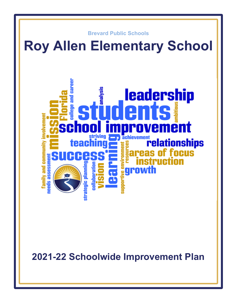

**2021-22 Schoolwide Improvement Plan**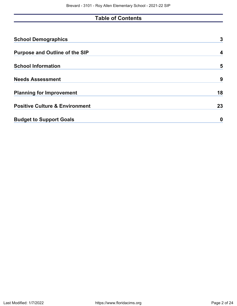# **Table of Contents**

| <b>School Demographics</b>                | 3  |
|-------------------------------------------|----|
| <b>Purpose and Outline of the SIP</b>     | 4  |
| <b>School Information</b>                 | 5  |
| <b>Needs Assessment</b>                   | 9  |
| <b>Planning for Improvement</b>           | 18 |
| <b>Positive Culture &amp; Environment</b> | 23 |
| <b>Budget to Support Goals</b>            | 0  |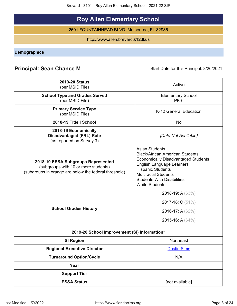Brevard - 3101 - Roy Allen Elementary School - 2021-22 SIP

# **Roy Allen Elementary School**

2601 FOUNTAINHEAD BLVD, Melbourne, FL 32935

http://www.allen.brevard.k12.fl.us

<span id="page-2-0"></span>**Demographics**

# **Principal: Sean Chance M** Start Date for this Principal: 8/26/2021

| <b>2019-20 Status</b><br>(per MSID File)                                                                                            | Active                                                                                                                                                                                                                                                              |
|-------------------------------------------------------------------------------------------------------------------------------------|---------------------------------------------------------------------------------------------------------------------------------------------------------------------------------------------------------------------------------------------------------------------|
| <b>School Type and Grades Served</b><br>(per MSID File)                                                                             | <b>Elementary School</b><br>$PK-6$                                                                                                                                                                                                                                  |
| <b>Primary Service Type</b><br>(per MSID File)                                                                                      | K-12 General Education                                                                                                                                                                                                                                              |
| 2018-19 Title I School                                                                                                              | <b>No</b>                                                                                                                                                                                                                                                           |
| 2018-19 Economically<br><b>Disadvantaged (FRL) Rate</b><br>(as reported on Survey 3)                                                | [Data Not Available]                                                                                                                                                                                                                                                |
| 2018-19 ESSA Subgroups Represented<br>(subgroups with 10 or more students)<br>(subgroups in orange are below the federal threshold) | <b>Asian Students</b><br><b>Black/African American Students</b><br><b>Economically Disadvantaged Students</b><br>English Language Learners<br><b>Hispanic Students</b><br><b>Multiracial Students</b><br><b>Students With Disabilities</b><br><b>White Students</b> |
| <b>School Grades History</b>                                                                                                        | 2018-19: A (63%)<br>2017-18: C (51%)<br>2016-17: A (62%)<br>2015-16: A (64%)                                                                                                                                                                                        |
| 2019-20 School Improvement (SI) Information*                                                                                        |                                                                                                                                                                                                                                                                     |
| <b>SI Region</b>                                                                                                                    | Northeast                                                                                                                                                                                                                                                           |
| <b>Regional Executive Director</b>                                                                                                  | <b>Dustin Sims</b>                                                                                                                                                                                                                                                  |
| <b>Turnaround Option/Cycle</b>                                                                                                      | N/A                                                                                                                                                                                                                                                                 |
| Year                                                                                                                                |                                                                                                                                                                                                                                                                     |
| <b>Support Tier</b>                                                                                                                 |                                                                                                                                                                                                                                                                     |
| <b>ESSA Status</b>                                                                                                                  | [not available]                                                                                                                                                                                                                                                     |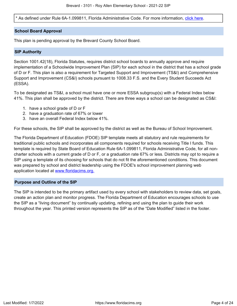\* As defined under Rule 6A-1.099811, Florida Administrative Code. For more information, [click here.](/downloads?category=da-forms)

### **School Board Approval**

This plan is pending approval by the Brevard County School Board.

### **SIP Authority**

Section 1001.42(18), Florida Statutes, requires district school boards to annually approve and require implementation of a Schoolwide Improvement Plan (SIP) for each school in the district that has a school grade of D or F. This plan is also a requirement for Targeted Support and Improvement (TS&I) and Comprehensive Support and Improvement (CS&I) schools pursuant to 1008.33 F.S. and the Every Student Succeeds Act (ESSA).

To be designated as TS&I, a school must have one or more ESSA subgroup(s) with a Federal Index below 41%. This plan shall be approved by the district. There are three ways a school can be designated as CS&I:

- 1. have a school grade of D or F
- 2. have a graduation rate of 67% or lower
- 3. have an overall Federal Index below 41%.

For these schools, the SIP shall be approved by the district as well as the Bureau of School Improvement.

The Florida Department of Education (FDOE) SIP template meets all statutory and rule requirements for traditional public schools and incorporates all components required for schools receiving Title I funds. This template is required by State Board of Education Rule 6A-1.099811, Florida Administrative Code, for all noncharter schools with a current grade of D or F, or a graduation rate 67% or less. Districts may opt to require a SIP using a template of its choosing for schools that do not fit the aforementioned conditions. This document was prepared by school and district leadership using the FDOE's school improvement planning web application located at [www.floridacims.org.](https://www.floridacims.org)

### <span id="page-3-0"></span>**Purpose and Outline of the SIP**

The SIP is intended to be the primary artifact used by every school with stakeholders to review data, set goals, create an action plan and monitor progress. The Florida Department of Education encourages schools to use the SIP as a "living document" by continually updating, refining and using the plan to guide their work throughout the year. This printed version represents the SIP as of the "Date Modified" listed in the footer.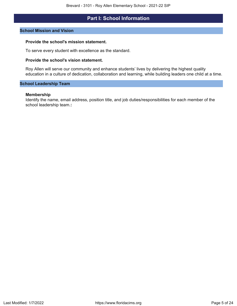# **Part I: School Information**

#### <span id="page-4-0"></span>**School Mission and Vision**

#### **Provide the school's mission statement.**

To serve every student with excellence as the standard.

### **Provide the school's vision statement.**

Roy Allen will serve our community and enhance students' lives by delivering the highest quality education in a culture of dedication, collaboration and learning, while building leaders one child at a time.

#### **School Leadership Team**

#### **Membership**

Identify the name, email address, position title, and job duties/responsibilities for each member of the school leadership team.**:**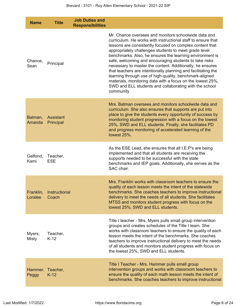| <b>Name</b>          | <b>Title</b>               | <b>Job Duties and</b><br><b>Responsibilities</b> |                                                                                                                                                                                                                                                                                                                                                                                                                                                                                                                                                                                                                                                                                                |
|----------------------|----------------------------|--------------------------------------------------|------------------------------------------------------------------------------------------------------------------------------------------------------------------------------------------------------------------------------------------------------------------------------------------------------------------------------------------------------------------------------------------------------------------------------------------------------------------------------------------------------------------------------------------------------------------------------------------------------------------------------------------------------------------------------------------------|
| Chance,<br>Sean      | Principal                  |                                                  | Mr. Chance oversees and monitors schoolwide data and<br>curriculum. He works with instructional staff to ensure that<br>lessons are consistently focused on complex content that<br>appropriately challenges students to meet grade level<br>benchmarks. Also, he ensures the learning environment is<br>safe, welcoming and encouraging students to take risks<br>necessary to master the content. Additionally, he ensures<br>that teachers are intentionally planning and facilitating the<br>learning through use of high-quality, benchmark-aligned<br>materials, monitoring data with a focus on the lowest 25%,<br>SWD and ELL students and collaborating with the school<br>community. |
| Batman,<br>Amanda    | Assistant<br>Principal     |                                                  | Mrs. Batman oversees and monitors schoolwide data and<br>curriculum. She also ensures that supports are put into<br>place to give the students every opportunity of success by<br>monitoring student progression with a focus on the lowest<br>25%, SWD and ELL students. Finally, she facilitates PD<br>and progress monitoring of accelerated learning of the<br>lowest 25%.                                                                                                                                                                                                                                                                                                                 |
| Gelfond,<br>Kami     | Teacher,<br><b>ESE</b>     |                                                  | As the ESE Lead, she ensures that all I.E.P's are being<br>implemented and that all students are receiving the<br>supports needed to be successful with the state<br>benchmarks and IEP goals. Additionally, she serves as the<br>SAC chair.                                                                                                                                                                                                                                                                                                                                                                                                                                                   |
| Franklin,<br>Loralee | Instructional<br>Coach     |                                                  | Mrs. Franklin works with classroom teachers to ensure the<br>quality of each lesson meets the intent of the statewide<br>benchmarks. She coaches teachers to improve instructional<br>delivery to meet the needs of all students. She facilitates<br>MTSS and monitors student progress with focus on the<br>lowest 25%, SWD and ELL students.                                                                                                                                                                                                                                                                                                                                                 |
| Myers,<br>Misty      | Teacher,<br>$K-12$         |                                                  | Title I teacher - Mrs. Myers pulls small group intervention<br>groups and creates schedules of the Title I team. She<br>works with classroom teachers to ensure the quality of each<br>lesson meets the intent of the benchmarks. She coaches<br>teachers to improve instructional delivery to meet the needs<br>of all students and monitors student progress with focus on<br>the lowest 25%, SWD and ELL students.                                                                                                                                                                                                                                                                          |
| Peggy                | Hammer, Teacher,<br>$K-12$ |                                                  | Title I Teacher - Mrs. Hammer pulls small group<br>intervention groups and works with classroom teachers to<br>ensure the quality of each math lesson meets the intent of<br>benchmarks. She coaches teachers to improve instructional                                                                                                                                                                                                                                                                                                                                                                                                                                                         |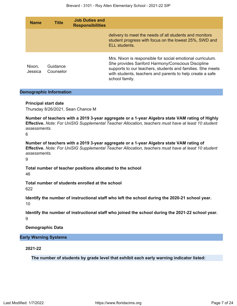| <b>Name</b>       | <b>Title</b>          | <b>Job Duties and</b><br><b>Responsibilities</b> |                                                                                                                                                                                                                                                              |
|-------------------|-----------------------|--------------------------------------------------|--------------------------------------------------------------------------------------------------------------------------------------------------------------------------------------------------------------------------------------------------------------|
|                   |                       |                                                  | delivery to meet the needs of all students and monitors<br>student progress with focus on the lowest 25%, SWD and<br>ELL students.                                                                                                                           |
| Nixon,<br>Jessica | Guidance<br>Counselor |                                                  | Mrs. Nixon is responsible for social emotional curriculum.<br>She provides Sanford Harmony/Conscious Discipline<br>supports to our teachers, students and families. She meets<br>with students, teachers and parents to help create a safe<br>school family. |

### **Demographic Information**

### **Principal start date**

Thursday 8/26/2021, Sean Chance M

**Number of teachers with a 2019 3-year aggregate or a 1-year Algebra state VAM rating of Highly Effective.** *Note: For UniSIG Supplemental Teacher Allocation, teachers must have at least 10 student assessments.*

6

**Number of teachers with a 2019 3-year aggregate or a 1-year Algebra state VAM rating of Effective.** *Note: For UniSIG Supplemental Teacher Allocation, teachers must have at least 10 student assessments.*

9

**Total number of teacher positions allocated to the school** 46

**Total number of students enrolled at the school** 622

**Identify the number of instructional staff who left the school during the 2020-21 school year.** 10

**Identify the number of instructional staff who joined the school during the 2021-22 school year.** 9

**Demographic Data**

### **Early Warning Systems**

**2021-22**

**The number of students by grade level that exhibit each early warning indicator listed:**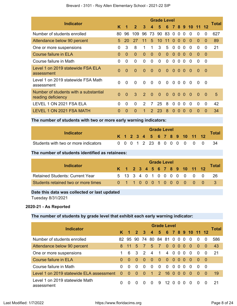|                                                             |                |                |                |                |               | <b>Grade Level</b> |          |                |          |          |                |          |                | Total |
|-------------------------------------------------------------|----------------|----------------|----------------|----------------|---------------|--------------------|----------|----------------|----------|----------|----------------|----------|----------------|-------|
| <b>Indicator</b>                                            | Κ              | 1              | $\overline{2}$ | 3              | 4             | 5                  | 6        |                |          |          | 7 8 9 10       | -11      | 12             |       |
| Number of students enrolled                                 | 80             | 96             | 109            | 96             | 73            | 90                 | 83       | $\overline{0}$ | $\Omega$ | $\Omega$ | $\Omega$       | 0        | 0              | 627   |
| Attendance below 90 percent                                 | 5              | 20             | 27             | 11             | 5             | 10                 | 11       | $\overline{0}$ | $\Omega$ | $\Omega$ | $\Omega$       | $\Omega$ | $\Omega$       | 89    |
| One or more suspensions                                     | $\Omega$       | 3              | 8              | 1              | 1             | 3                  | 5        | $\mathbf 0$    | $\Omega$ | $\Omega$ | $\Omega$       | $\Omega$ | 0              | 21    |
| Course failure in ELA                                       | $\Omega$       | $\Omega$       | $\Omega$       | $\Omega$       | $\Omega$      | $\mathbf{0}$       | $\Omega$ | $\Omega$       | $\Omega$ | $\Omega$ | $\Omega$       | 0        | $\Omega$       |       |
| Course failure in Math                                      | 0              | $\Omega$       | $\Omega$       | $\Omega$       | $\Omega$      | $\Omega$           | $\Omega$ | $\Omega$       | $\Omega$ | $\Omega$ | $\Omega$       | 0        | $\Omega$       |       |
| Level 1 on 2019 statewide FSA ELA<br>assessment             | $\overline{0}$ | 0              | $\Omega$       | $\Omega$       | $\Omega$      | $\Omega$           | $\Omega$ | $\overline{0}$ | $\Omega$ | $\Omega$ | $\overline{0}$ | $\Omega$ | - 0            |       |
| Level 1 on 2019 statewide FSA Math<br>assessment            | $\Omega$       | $\Omega$       | $\Omega$       | $\Omega$       | $\Omega$      | $\Omega$           | $\Omega$ | $\overline{0}$ | $\Omega$ | $\Omega$ | $\Omega$       | 0        | - 0            |       |
| Number of students with a substantial<br>reading deficiency | $\Omega$       | $\overline{0}$ | 3              | $\mathcal{P}$  | $\Omega$      | $\overline{0}$     | $\Omega$ | $\overline{0}$ | $\Omega$ | $\Omega$ | $\Omega$       | $\Omega$ | $\overline{0}$ | 5     |
| LEVEL 1 ON 2021 FSA ELA                                     | $\Omega$       | $\Omega$       | 0              | $\overline{2}$ | 7             | 25                 | 8        | 0              | $\Omega$ | $\Omega$ | $\Omega$       | $\Omega$ | 0              | 42    |
| LEVEL 1 ON 2021 FSA MATH                                    | $\Omega$       | 0              | $\Omega$       | 1              | $\mathcal{P}$ | 23                 | 8        | $\Omega$       | $\Omega$ | $\Omega$ | $\Omega$       | 0        | 0              | 34    |

### Brevard - 3101 - Roy Allen Elementary School - 2021-22 SIP

**The number of students with two or more early warning indicators:**

|                                      |  |  | <b>Grade Level</b> |  |  |                              |                            |              |
|--------------------------------------|--|--|--------------------|--|--|------------------------------|----------------------------|--------------|
| Indicator                            |  |  |                    |  |  | K 1 2 3 4 5 6 7 8 9 10 11 12 |                            | <b>Total</b> |
| Students with two or more indicators |  |  |                    |  |  |                              | 0 0 0 1 2 23 8 0 0 0 0 0 0 |              |

### **The number of students identified as retainees:**

| <b>Indicator</b>                       |  |  |  | <b>Grade Level</b> |  |  |                              |              |
|----------------------------------------|--|--|--|--------------------|--|--|------------------------------|--------------|
|                                        |  |  |  |                    |  |  | K 1 2 3 4 5 6 7 8 9 10 11 12 | <b>Total</b> |
| <b>Retained Students: Current Year</b> |  |  |  |                    |  |  | 5 13 3 4 0 1 0 0 0 0 0 0 0   | -26          |
| Students retained two or more times    |  |  |  |                    |  |  | 0 1 1 0 0 0 1 0 0 0 0 0 0    |              |

### **Date this data was collected or last updated**

Tuesday 8/31/2021

### **2020-21 - As Reported**

### **The number of students by grade level that exhibit each early warning indicator:**

| <b>Indicator</b>                             | <b>Grade Level</b> |          |          |                      |                      |                |                      |                |                   |                |              |          |          |       |  |
|----------------------------------------------|--------------------|----------|----------|----------------------|----------------------|----------------|----------------------|----------------|-------------------|----------------|--------------|----------|----------|-------|--|
|                                              |                    | K 1 2 3  |          |                      | $\overline{4}$       |                | 5 6 7 8 9 10 11 12   |                |                   |                |              |          |          | Total |  |
| Number of students enrolled                  |                    | 82 95    |          |                      |                      |                | 90 74 80 84 81 0 0 0 |                |                   |                | - 0          | $\Omega$ | $\Omega$ | 586   |  |
| Attendance below 90 percent                  | 8                  |          | 5        | <sup>7</sup>         | 5                    | <sup>7</sup>   | 0                    | 0 <sub>0</sub> |                   | - 0            | - 0          | $\Omega$ | $\Omega$ | 43    |  |
| One or more suspensions                      |                    | 6        | -3       | $\overline{2}$       | $\overline{4}$       | $\overline{1}$ | $\overline{4}$       | - 0            |                   | 0 <sub>0</sub> | - 0          | $\Omega$ | $\Omega$ | -21   |  |
| Course failure in ELA                        | $\Omega$           | $\Omega$ | - 0      | $\blacktriangle$ 0 - | - 0                  | $\overline{0}$ | $\overline{0}$       | 0 <sub>0</sub> |                   | - 0            | - 0          | - 0      | - 0      |       |  |
| Course failure in Math                       | 0                  | $\Omega$ | $\Omega$ | $\Omega$             | $\Omega$             | $\Omega$       | $\Omega$             | $\Omega$       | $\cdot$ 0 $\cdot$ | $\Omega$       | $\Omega$     | $\Omega$ | - 0      |       |  |
| Level 1 on 2019 statewide ELA assessment     | $\Omega$           | $\Omega$ | $\Omega$ | - 0                  | $\blacktriangleleft$ | $\mathcal{P}$  | 16                   | $\Omega$       | $\Omega$          | $\Omega$       | $\Omega$     | $\Omega$ | $\Omega$ | 19    |  |
| Level 1 on 2019 statewide Math<br>assessment | 0                  | 0        | $\Omega$ | <sup>0</sup>         | $\Omega$             | 9              | 12 O                 |                | $\Omega$          | <sup>0</sup>   | <sup>0</sup> | $\Omega$ | $\Omega$ | -21   |  |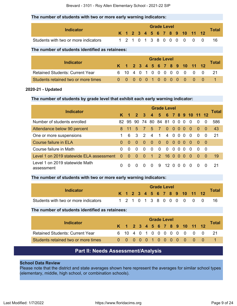### **The number of students with two or more early warning indicators:**

|                                      |  |  |  | <b>Grade Level</b> |  |  |                              |       |
|--------------------------------------|--|--|--|--------------------|--|--|------------------------------|-------|
| Indicator                            |  |  |  |                    |  |  | K 1 2 3 4 5 6 7 8 9 10 11 12 | Tota. |
| Students with two or more indicators |  |  |  |                    |  |  | 1 2 1 0 1 3 8 0 0 0 0 0      |       |

### **The number of students identified as retainees:**

| <b>Indicator</b>                       |  |  |  | <b>Grade Level</b> |  |                              |                            |       |
|----------------------------------------|--|--|--|--------------------|--|------------------------------|----------------------------|-------|
|                                        |  |  |  |                    |  | K 1 2 3 4 5 6 7 8 9 10 11 12 |                            | Total |
| <b>Retained Students: Current Year</b> |  |  |  |                    |  |                              | 6 10 4 0 1 0 0 0 0 0 0 0 0 |       |
| Students retained two or more times    |  |  |  |                    |  |                              | 0 0 0 0 0 1 0 0 0 0 0 0 0  |       |

### **2020-21 - Updated**

### **The number of students by grade level that exhibit each early warning indicator:**

|                                              | <b>Grade Level</b> |                  |                |                              |                      |                |                 |                |                |          |                        |               |          |       |  |
|----------------------------------------------|--------------------|------------------|----------------|------------------------------|----------------------|----------------|-----------------|----------------|----------------|----------|------------------------|---------------|----------|-------|--|
| <b>Indicator</b>                             |                    | $\blacksquare$ 1 | $\overline{2}$ | $\overline{\mathbf{3}}$      | $\overline{4}$       |                |                 |                |                |          | 5 6 7 8 9 10 11 12     |               |          | Total |  |
| Number of students enrolled                  |                    | 82 95            |                |                              | 90 74 80 84 81 0 0 0 |                |                 |                |                |          | $\Omega$               | $\Omega$      | 0        | 586   |  |
| Attendance below 90 percent                  | 8                  | 11               | 5 <sub>1</sub> | $\left\langle \right\rangle$ | $5^{\circ}$          | $\overline{7}$ | $\Omega$        | $\Omega$       | 0 <sub>0</sub> |          | $\blacktriangleleft 0$ | $\rightarrow$ | - 0      | 43    |  |
| One or more suspensions                      |                    | 6                | 3              | $\mathcal{P}$                | $\overline{4}$       | $\mathbf{1}$   | 4               | $\overline{0}$ | $\overline{0}$ | $\Omega$ | $\Omega$               | $\Omega$      | 0        | 21    |  |
| <b>Course failure in ELA</b>                 | <sup>0</sup>       | $\Omega$         | $\Omega$       | $\Omega$                     | $\Omega$             | $\Omega$       | $\Omega$        | $\Omega$       | 0 <sub>0</sub> |          | - 0                    | $\Omega$      | - 0      |       |  |
| Course failure in Math                       | 0                  | $\Omega$         | $\Omega$       | $\Omega$                     | $\Omega$             | $\Omega$       | $\Omega$        | $\Omega$       | $\Omega$       | $\Omega$ | $\Omega$               | $\Omega$      | - 0      |       |  |
| Level 1 on 2019 statewide ELA assessment     | $\Omega$           | - 0              | $\sim 0$       | $\overline{0}$               | $\overline{1}$       | $\mathcal{P}$  | 16 <sub>0</sub> |                | $\bullet$      | - 0      | $\Omega$               | $\Omega$      | - 0      | 19    |  |
| Level 1 on 2019 statewide Math<br>assessment | O                  | <sup>0</sup>     | <sup>0</sup>   | <sup>0</sup>                 | $\Omega$             | 9              | 12 <sup>°</sup> | $\Omega$       | $\Omega$       | $\Omega$ | $\Omega$               | $\Omega$      | $\Omega$ | 21    |  |

### **The number of students with two or more early warning indicators:**

| Indicator                            |  |  |  | <b>Grade Level</b> |  |  |                              |              |
|--------------------------------------|--|--|--|--------------------|--|--|------------------------------|--------------|
|                                      |  |  |  |                    |  |  | K 1 2 3 4 5 6 7 8 9 10 11 12 | <b>Total</b> |
| Students with two or more indicators |  |  |  |                    |  |  | 1 2 1 0 1 3 8 0 0 0 0 0 0    |              |

#### **The number of students identified as retainees:**

|                                        | <b>Grade Level</b> |  |  |  |  |  |  |  |  |  |                              |  |                            |       |
|----------------------------------------|--------------------|--|--|--|--|--|--|--|--|--|------------------------------|--|----------------------------|-------|
| Indicator                              |                    |  |  |  |  |  |  |  |  |  | K 1 2 3 4 5 6 7 8 9 10 11 12 |  |                            | Total |
| <b>Retained Students: Current Year</b> |                    |  |  |  |  |  |  |  |  |  |                              |  | 6 10 4 0 1 0 0 0 0 0 0 0 0 |       |
| Students retained two or more times    |                    |  |  |  |  |  |  |  |  |  |                              |  | 0 0 0 0 0 1 0 0 0 0 0 0 0  |       |

# **Part II: Needs Assessment/Analysis**

### <span id="page-8-0"></span>**School Data Review**

Please note that the district and state averages shown here represent the averages for similar school types (elementary, middle, high school, or combination schools).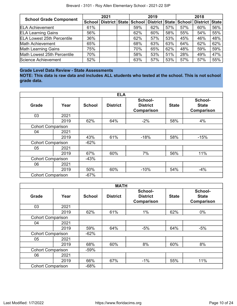| <b>School Grade Component</b>     |     | 2021 |     | 2019                                                           |     | 2018 |                |     |  |
|-----------------------------------|-----|------|-----|----------------------------------------------------------------|-----|------|----------------|-----|--|
|                                   |     |      |     | School   District   State   School   District   State   School |     |      | District State |     |  |
| <b>ELA Achievement</b>            | 61% |      | 59% | 62%                                                            | 57% | 57%  | 60%            | 56% |  |
| <b>ELA Learning Gains</b>         | 56% |      | 62% | 60%                                                            | 58% | 55%  | 54%            | 55% |  |
| <b>ELA Lowest 25th Percentile</b> | 36% |      | 62% | 57%                                                            | 53% | 45%  | 46%            | 48% |  |
| <b>Math Achievement</b>           | 65% |      | 68% | 63%                                                            | 63% | 64%  | 62%            | 62% |  |
| <b>Math Learning Gains</b>        | 75% |      | 70% | 65%                                                            | 62% | 48%  | 59%            | 59% |  |
| Math Lowest 25th Percentile       | 70% |      | 58% | 53%                                                            | 51% | 28%  | 49%            | 47% |  |
| Science Achievement               | 52% |      | 63% | 57%                                                            | 53% | 57%  | 57%            | 55% |  |

# **Grade Level Data Review - State Assessments**

**NOTE: This data is raw data and includes ALL students who tested at the school. This is not school grade data.**

|                          |      |               | <b>ELA</b>      |                                          |              |                                              |
|--------------------------|------|---------------|-----------------|------------------------------------------|--------------|----------------------------------------------|
| Grade                    | Year | <b>School</b> | <b>District</b> | School-<br><b>District</b><br>Comparison | <b>State</b> | School-<br><b>State</b><br><b>Comparison</b> |
| 03                       | 2021 |               |                 |                                          |              |                                              |
|                          | 2019 | 62%           | 64%             | $-2%$                                    | 58%          | 4%                                           |
| <b>Cohort Comparison</b> |      |               |                 |                                          |              |                                              |
| 04                       | 2021 |               |                 |                                          |              |                                              |
|                          | 2019 | 43%           | 61%             | $-18%$                                   | 58%          | $-15%$                                       |
| <b>Cohort Comparison</b> |      | $-62%$        |                 |                                          |              |                                              |
| 05                       | 2021 |               |                 |                                          |              |                                              |
|                          | 2019 | 67%           | 60%             | 7%                                       | 56%          | 11%                                          |
| <b>Cohort Comparison</b> |      | $-43%$        |                 |                                          |              |                                              |
| 06                       | 2021 |               |                 |                                          |              |                                              |
|                          | 2019 | 50%           | 60%             | $-10%$                                   | 54%          | $-4%$                                        |
| <b>Cohort Comparison</b> |      | $-67%$        |                 |                                          |              |                                              |

|                          |      |               | <b>MATH</b>     |                                          |              |                                              |
|--------------------------|------|---------------|-----------------|------------------------------------------|--------------|----------------------------------------------|
| Grade                    | Year | <b>School</b> | <b>District</b> | School-<br><b>District</b><br>Comparison | <b>State</b> | School-<br><b>State</b><br><b>Comparison</b> |
| 03                       | 2021 |               |                 |                                          |              |                                              |
|                          | 2019 | 62%           | 61%             | $1\%$                                    | 62%          | $0\%$                                        |
| <b>Cohort Comparison</b> |      |               |                 |                                          |              |                                              |
| 04                       | 2021 |               |                 |                                          |              |                                              |
|                          | 2019 | 59%           | 64%             | $-5%$                                    | 64%          | $-5%$                                        |
| <b>Cohort Comparison</b> |      | $-62%$        |                 |                                          |              |                                              |
| 05                       | 2021 |               |                 |                                          |              |                                              |
|                          | 2019 | 68%           | 60%             | 8%                                       | 60%          | 8%                                           |
| <b>Cohort Comparison</b> |      | $-59%$        |                 |                                          |              |                                              |
| 06                       | 2021 |               |                 |                                          |              |                                              |
|                          | 2019 | 66%           | 67%             | $-1\%$                                   | 55%          | 11%                                          |
| <b>Cohort Comparison</b> |      | $-68%$        |                 |                                          |              |                                              |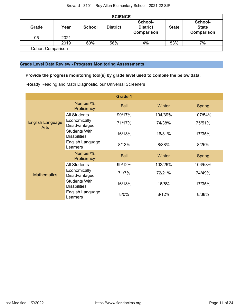|                          | <b>SCIENCE</b> |               |                 |                                                 |              |                                       |  |  |  |  |
|--------------------------|----------------|---------------|-----------------|-------------------------------------------------|--------------|---------------------------------------|--|--|--|--|
| Grade                    | Year           | <b>School</b> | <b>District</b> | School-<br><b>District</b><br><b>Comparison</b> | <b>State</b> | School-<br><b>State</b><br>Comparison |  |  |  |  |
| 05                       | 2021           |               |                 |                                                 |              |                                       |  |  |  |  |
|                          | 2019           | 60%           | 56%             | 4%                                              | 53%          | 7%                                    |  |  |  |  |
| <b>Cohort Comparison</b> |                |               |                 |                                                 |              |                                       |  |  |  |  |

### **Grade Level Data Review - Progress Monitoring Assessments**

# **Provide the progress monitoring tool(s) by grade level used to compile the below data.**

i-Ready Reading and Math Diagnostic, our Universal Screeners

|                                        |                                             | <b>Grade 1</b> |         |               |
|----------------------------------------|---------------------------------------------|----------------|---------|---------------|
|                                        | Number/%<br>Proficiency                     | Fall           | Winter  | Spring        |
|                                        | <b>All Students</b>                         | 99/17%         | 104/39% | 107/54%       |
| <b>English Language</b><br><b>Arts</b> | Economically<br>Disadvantaged               | 71/17%         | 74/38%  | 75/51%        |
|                                        | <b>Students With</b><br><b>Disabilities</b> | 16/13%         | 16/31%  | 17/35%        |
|                                        | English Language<br>Learners                | 8/13%          | 8/38%   | 8/25%         |
|                                        | Number/%<br>Proficiency                     | Fall           | Winter  | <b>Spring</b> |
|                                        | <b>All Students</b>                         | 99/12%         | 102/26% | 106/58%       |
| <b>Mathematics</b>                     | Economically<br>Disadvantaged               | 71/7%          | 72/21%  | 74/49%        |
|                                        | <b>Students With</b><br><b>Disabilities</b> | 16/13%         | 16/6%   | 17/35%        |
|                                        | English Language<br>Learners                | $8/0\%$        | 8/12%   | 8/38%         |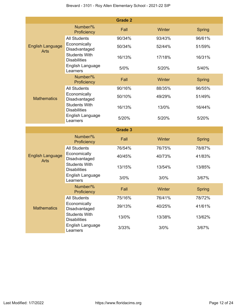|                                        |                                                                 | <b>Grade 2</b> |        |               |
|----------------------------------------|-----------------------------------------------------------------|----------------|--------|---------------|
|                                        | Number/%<br>Proficiency                                         | Fall           | Winter | <b>Spring</b> |
|                                        | <b>All Students</b>                                             | 90/34%         | 93/43% | 96/61%        |
| <b>English Language</b><br><b>Arts</b> | Economically<br>Disadvantaged                                   | 50/34%         | 52/44% | 51/59%        |
|                                        | <b>Students With</b><br><b>Disabilities</b>                     | 16/13%         | 17/18% | 16/31%        |
|                                        | English Language<br>Learners                                    | 5/0%           | 5/20%  | 5/40%         |
|                                        | Number/%<br>Proficiency                                         | Fall           | Winter | <b>Spring</b> |
|                                        | <b>All Students</b>                                             | 90/16%         | 88/35% | 96/55%        |
| <b>Mathematics</b>                     | Economically<br>Disadvantaged                                   | 50/10%         | 49/29% | 51/49%        |
|                                        | <b>Students With</b><br><b>Disabilities</b>                     | 16/13%         | 13/0%  | 16/44%        |
|                                        | English Language<br>Learners                                    | 5/20%          | 5/20%  | 5/20%         |
|                                        |                                                                 |                |        |               |
|                                        |                                                                 | <b>Grade 3</b> |        |               |
|                                        | Number/%<br>Proficiency                                         | Fall           | Winter | <b>Spring</b> |
|                                        | <b>All Students</b>                                             | 76/54%         | 76/75% | 78/87%        |
| <b>English Language</b><br><b>Arts</b> | Economically<br>Disadvantaged                                   | 40/45%         | 40/73% | 41/83%        |
|                                        | <b>Students With</b><br><b>Disabilities</b>                     | 13/15%         | 13/54% | 13/85%        |
|                                        | English Language<br>Learners                                    | 3/0%           | 3/0%   | 3/67%         |
|                                        | Number/%<br>Proficiency                                         | Fall           | Winter | <b>Spring</b> |
|                                        | <b>All Students</b>                                             | 75/16%         | 76/41% | 78/72%        |
| <b>Mathematics</b>                     | Economically<br>Disadvantaged                                   | 39/13%         | 40/25% | 41/61%        |
|                                        | <b>Students With</b><br><b>Disabilities</b><br>English Language | 13/0%          | 13/38% | 13/62%        |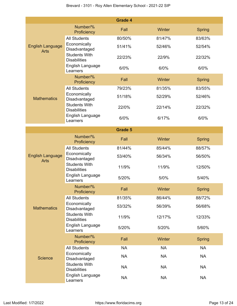|                                        |                                             | <b>Grade 4</b> |           |               |
|----------------------------------------|---------------------------------------------|----------------|-----------|---------------|
|                                        | Number/%<br>Proficiency                     | Fall           | Winter    | <b>Spring</b> |
|                                        | <b>All Students</b>                         | 80/50%         | 81/47%    | 83/63%        |
| <b>English Language</b><br><b>Arts</b> | Economically<br>Disadvantaged               | 51/41%         | 52/46%    | 52/54%        |
|                                        | <b>Students With</b><br><b>Disabilities</b> | 22/23%         | 22/9%     | 22/32%        |
|                                        | English Language<br>Learners                | 6/0%           | 6/0%      | 6/0%          |
|                                        | Number/%<br>Proficiency                     | Fall           | Winter    | <b>Spring</b> |
|                                        | <b>All Students</b>                         | 79/23%         | 81/35%    | 83/55%        |
| <b>Mathematics</b>                     | Economically<br>Disadvantaged               | 51/18%         | 52/29%    | 52/46%        |
|                                        | <b>Students With</b><br><b>Disabilities</b> | 22/0%          | 22/14%    | 22/32%        |
|                                        | English Language<br>Learners                | 6/0%           | 6/17%     | 6/0%          |
|                                        |                                             | <b>Grade 5</b> |           |               |
|                                        | Number/%<br>Proficiency                     | Fall           | Winter    | Spring        |
|                                        | <b>All Students</b>                         | 81/44%         | 85/44%    | 88/57%        |
| <b>English Language</b><br><b>Arts</b> | Economically<br>Disadvantaged               | 53/40%         | 56/34%    | 56/50%        |
|                                        | <b>Students With</b><br><b>Disabilities</b> | 11/9%          | 11/9%     | 12/50%        |
|                                        | English Language<br>Learners                | 5/20%          | 5/0%      | 5/40%         |
|                                        | Number/%<br>Proficiency                     | Fall           | Winter    | <b>Spring</b> |
|                                        | <b>All Students</b>                         | 81/35%         | 86/44%    | 88/72%        |
| <b>Mathematics</b>                     | Economically<br>Disadvantaged               | 53/32%         | 56/39%    | 56/68%        |
|                                        | <b>Students With</b><br><b>Disabilities</b> | 11/9%          | 12/17%    | 12/33%        |
|                                        | English Language<br>Learners                | 5/20%          | 5/20%     | 5/60%         |
|                                        | Number/%<br>Proficiency                     | Fall           | Winter    | <b>Spring</b> |
|                                        | <b>All Students</b>                         | <b>NA</b>      | <b>NA</b> | <b>NA</b>     |
| <b>Science</b>                         | Economically<br>Disadvantaged               | <b>NA</b>      | <b>NA</b> | <b>NA</b>     |
|                                        | <b>Students With</b><br><b>Disabilities</b> | <b>NA</b>      | <b>NA</b> | <b>NA</b>     |
|                                        | English Language<br>Learners                | <b>NA</b>      | <b>NA</b> | <b>NA</b>     |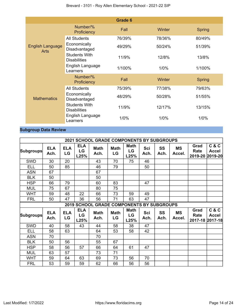|                                        |                                             | <b>Grade 6</b> |        |               |
|----------------------------------------|---------------------------------------------|----------------|--------|---------------|
|                                        | Number/%<br>Proficiency                     | Fall           | Winter | <b>Spring</b> |
|                                        | <b>All Students</b>                         | 76/39%         | 78/36% | 80/49%        |
| <b>English Language</b><br><b>Arts</b> | Economically<br>Disadvantaged               | 49/29%         | 50/24% | 51/39%        |
|                                        | <b>Students With</b><br><b>Disabilities</b> | 11/9%          | 12/8%  | 13/8%         |
|                                        | English Language<br>Learners                | 1/100%         | 1/0%   | 1/100%        |
|                                        | Number/%<br>Proficiency                     | Fall           | Winter | <b>Spring</b> |
|                                        | <b>All Students</b>                         | 75/39%         | 77/38% | 79/63%        |
| <b>Mathematics</b>                     | Economically<br>Disadvantaged               | 48/29%         | 50/28% | 51/55%        |
|                                        | <b>Students With</b><br><b>Disabilities</b> | 11/9%          | 12/17% | 13/15%        |
|                                        | English Language<br>Learners                | 1/0%           | 1/0%   | 1/0%          |

# **Subgroup Data Review**

|                  |                    |                  |                          | <b>2021 SCHOOL GRADE COMPONENTS BY SUBGROUPS</b> |                   |                           |                    |                   |                     |                                 |                                  |
|------------------|--------------------|------------------|--------------------------|--------------------------------------------------|-------------------|---------------------------|--------------------|-------------------|---------------------|---------------------------------|----------------------------------|
| <b>Subgroups</b> | <b>ELA</b><br>Ach. | <b>ELA</b><br>LG | <b>ELA</b><br>LG<br>L25% | <b>Math</b><br>Ach.                              | <b>Math</b><br>LG | <b>Math</b><br>LG<br>L25% | Sci<br>Ach.        | <b>SS</b><br>Ach. | <b>MS</b><br>Accel. | Grad<br>Rate<br>2019-20         | C & C<br><b>Accel</b><br>2019-20 |
| <b>SWD</b>       | 30                 | 20               |                          | 43                                               | 70                | 75                        | 46                 |                   |                     |                                 |                                  |
| ELL              | 50                 | 85               |                          | 46                                               | 79                |                           | 50                 |                   |                     |                                 |                                  |
| <b>ASN</b>       | 67                 |                  |                          | 67                                               |                   |                           |                    |                   |                     |                                 |                                  |
| <b>BLK</b>       | 50                 |                  |                          | 50                                               |                   |                           |                    |                   |                     |                                 |                                  |
| <b>HSP</b>       | 66                 | 79               |                          | 60                                               | 83                |                           | 47                 |                   |                     |                                 |                                  |
| <b>MUL</b>       | 75                 | 67               |                          | 80                                               | 75                |                           |                    |                   |                     |                                 |                                  |
| <b>WHT</b>       | 59                 | 48               | 22                       | 66                                               | 73                | 59                        | 49                 |                   |                     |                                 |                                  |
| <b>FRL</b>       | 50                 | 47               | 36                       | 56                                               | 71                | 63                        | 47                 |                   |                     |                                 |                                  |
|                  |                    |                  |                          | 2019 SCHOOL GRADE COMPONENTS BY SUBGROUPS        |                   |                           |                    |                   |                     |                                 |                                  |
| <b>Subgroups</b> | <b>ELA</b><br>Ach. | <b>ELA</b><br>LG | <b>ELA</b><br>LG<br>L25% | <b>Math</b><br>Ach.                              | <b>Math</b><br>LG | <b>Math</b><br>LG<br>L25% | <b>Sci</b><br>Ach. | SS<br>Ach.        | <b>MS</b><br>Accel. | Grad<br>Rate<br>2017-18 2017-18 | C & C<br><b>Accel</b>            |
| <b>SWD</b>       | 40                 | 58               | 43                       | 44                                               | 58                | 38                        | 47                 |                   |                     |                                 |                                  |
| <b>ELL</b>       | 58                 | 63               |                          | 64                                               | 53                | 58                        | 42                 |                   |                     |                                 |                                  |
| <b>ASN</b>       | 70                 |                  |                          | 70                                               |                   |                           |                    |                   |                     |                                 |                                  |
| <b>BLK</b>       | 50                 | 56               |                          | 55                                               | 67                |                           |                    |                   |                     |                                 |                                  |
| <b>HSP</b>       | 58                 | 56               | 57                       | 66                                               | 64                | 61                        | 47                 |                   |                     |                                 |                                  |
| <b>MUL</b>       | 63                 | 57               |                          | 73                                               | 71                |                           |                    |                   |                     |                                 |                                  |
| <b>WHT</b>       | 59                 | 64               | 63                       | 69                                               | 73                | 56                        | 70                 |                   |                     |                                 |                                  |
| <b>FRL</b>       | 53                 | 59               | 59                       | 62                                               | 66                | 56                        | 56                 |                   |                     |                                 |                                  |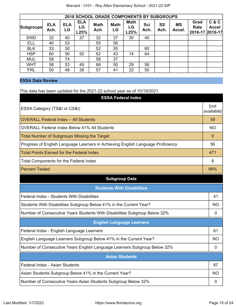| <b>2018 SCHOOL GRADE COMPONENTS BY SUBGROUPS</b> |                    |                  |                          |                     |                   |                           |             |            |                     |                                 |                       |
|--------------------------------------------------|--------------------|------------------|--------------------------|---------------------|-------------------|---------------------------|-------------|------------|---------------------|---------------------------------|-----------------------|
| <b>Subgroups</b>                                 | <b>ELA</b><br>Ach. | <b>ELA</b><br>LG | <b>ELA</b><br>LG<br>L25% | <b>Math</b><br>Ach. | <b>Math</b><br>LG | <b>Math</b><br>LG<br>L25% | Sci<br>Ach. | SS<br>Ach. | <b>MS</b><br>Accel. | Grad<br>Rate<br>2016-17 2016-17 | C & C<br><b>Accel</b> |
| <b>SWD</b>                                       | 32                 | 40               | 37                       | 32                  | 37                | 30                        | 40          |            |                     |                                 |                       |
| <b>ELL</b>                                       | 40                 | 53               |                          | 55                  | 56                |                           |             |            |                     |                                 |                       |
| <b>BLK</b>                                       | 33                 | 30               |                          | 52                  | 55                |                           | 60          |            |                     |                                 |                       |
| <b>HSP</b>                                       | 60                 | 56               | 50                       | 62                  | 43                | 14                        | 64          |            |                     |                                 |                       |
| <b>MUL</b>                                       | 58                 | 74               |                          | 58                  | 37                |                           |             |            |                     |                                 |                       |
| <b>WHT</b>                                       | 58                 | 53               | 49                       | 66                  | 50                | 29                        | 56          |            |                     |                                 |                       |
| <b>FRL</b>                                       | 50                 | 48               | 38                       | 57                  | 41                | 22                        | 50          |            |                     |                                 |                       |

## **ESSA Data Review**

This data has been updated for the 2021-22 school year as of 10/19/2021.

| <b>ESSA Federal Index</b>                                                       |                    |
|---------------------------------------------------------------------------------|--------------------|
| ESSA Category (TS&I or CS&I)                                                    | [not<br>available] |
| <b>OVERALL Federal Index - All Students</b>                                     | 59                 |
| <b>OVERALL Federal Index Below 41% All Students</b>                             | <b>NO</b>          |
| <b>Total Number of Subgroups Missing the Target</b>                             | $\Omega$           |
| Progress of English Language Learners in Achieving English Language Proficiency | 56                 |
| <b>Total Points Earned for the Federal Index</b>                                | 471                |
| <b>Total Components for the Federal Index</b>                                   | 8                  |
| <b>Percent Tested</b>                                                           | 99%                |
| <b>Subgroup Data</b>                                                            |                    |
| <b>Students With Disabilities</b>                                               |                    |
| Federal Index - Students With Disabilities                                      | 41                 |
| Students With Disabilities Subgroup Below 41% in the Current Year?              | <b>NO</b>          |
| Number of Consecutive Years Students With Disabilities Subgroup Below 32%       | 0                  |
| <b>English Language Learners</b>                                                |                    |
| Federal Index - English Language Learners                                       | 61                 |
| English Language Learners Subgroup Below 41% in the Current Year?               | <b>NO</b>          |
| Number of Consecutive Years English Language Learners Subgroup Below 32%        | 0                  |
| <b>Asian Students</b>                                                           |                    |
| Federal Index - Asian Students                                                  | 67                 |
| Asian Students Subgroup Below 41% in the Current Year?                          | <b>NO</b>          |
| Number of Consecutive Years Asian Students Subgroup Below 32%                   | $\mathbf 0$        |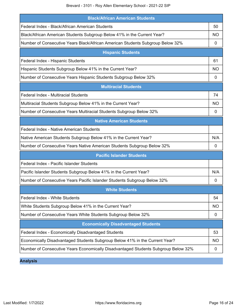Brevard - 3101 - Roy Allen Elementary School - 2021-22 SIP

| <b>Black/African American Students</b>                                             |           |  |
|------------------------------------------------------------------------------------|-----------|--|
| Federal Index - Black/African American Students                                    | 50        |  |
| Black/African American Students Subgroup Below 41% in the Current Year?            | <b>NO</b> |  |
| Number of Consecutive Years Black/African American Students Subgroup Below 32%     | 0         |  |
| <b>Hispanic Students</b>                                                           |           |  |
| Federal Index - Hispanic Students                                                  | 61        |  |
| Hispanic Students Subgroup Below 41% in the Current Year?                          | NO.       |  |
| Number of Consecutive Years Hispanic Students Subgroup Below 32%                   | 0         |  |
| <b>Multiracial Students</b>                                                        |           |  |
| <b>Federal Index - Multiracial Students</b>                                        | 74        |  |
| Multiracial Students Subgroup Below 41% in the Current Year?                       | <b>NO</b> |  |
| Number of Consecutive Years Multiracial Students Subgroup Below 32%                | 0         |  |
| <b>Native American Students</b>                                                    |           |  |
| Federal Index - Native American Students                                           |           |  |
| Native American Students Subgroup Below 41% in the Current Year?                   | N/A       |  |
| Number of Consecutive Years Native American Students Subgroup Below 32%            | 0         |  |
| <b>Pacific Islander Students</b>                                                   |           |  |
| Federal Index - Pacific Islander Students                                          |           |  |
| Pacific Islander Students Subgroup Below 41% in the Current Year?                  | N/A       |  |
| Number of Consecutive Years Pacific Islander Students Subgroup Below 32%           | 0         |  |
| <b>White Students</b>                                                              |           |  |
| Federal Index - White Students                                                     | 54        |  |
| White Students Subgroup Below 41% in the Current Year?                             | <b>NO</b> |  |
| Number of Consecutive Years White Students Subgroup Below 32%                      | 0         |  |
| <b>Economically Disadvantaged Students</b>                                         |           |  |
| Federal Index - Economically Disadvantaged Students                                | 53        |  |
| Economically Disadvantaged Students Subgroup Below 41% in the Current Year?        | <b>NO</b> |  |
| Number of Consecutive Years Economically Disadvantaged Students Subgroup Below 32% | 0         |  |

**Analysis**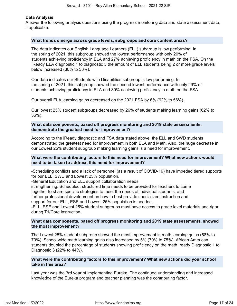### **Data Analysis**

Answer the following analysis questions using the progress monitoring data and state assessment data, if applicable.

#### **What trends emerge across grade levels, subgroups and core content areas?**

The data indicates our English Language Learners (ELL) subgroup is low performing. In the spring of 2021, this subgroup showed the lowest performance with only 20% of students achieving proficiency in ELA and 27% achieving proficiency in math on the FSA. On the IReady ELA diagnostic 1 to diagnostic 3 the amount of ELL students being 2 or more grade levels below increased (30% to 33%).

Our data indicates our Students with Disabilities subgroup is low performing. In the spring of 2021, this subgroup showed the second lowest performance with only 29% of students achieving proficiency in ELA and 39% achieving proficiency in math on the FSA.

Our overall ELA learning gains decreased on the 2021 FSA by 6% (62% to 56%).

Our lowest 25% student subgroups decreased by 26% of students making learning gains (62% to 36%).

### **What data components, based off progress monitoring and 2019 state assessments, demonstrate the greatest need for improvement?**

According to the iReady diagnostic and FSA data stated above, the ELL and SWD students demonstrated the greatest need for improvement in both ELA and Math. Also, the huge decrease in our Lowest 25% student subgroup making learning gains is a need for improvement.

### **What were the contributing factors to this need for improvement? What new actions would need to be taken to address this need for improvement?**

-Scheduling conflicts and a lack of personnel (as a result of COVID-19) have impeded tiered supports for our ELL, SWD and Lowest 25% population.

-General Education and ELL support collaboration needs

strengthening. Scheduled, structured time needs to be provided for teachers to come together to share specific strategies to meet the needs of individual students, and further professional development on how to best provide specialized instruction and

support for our ELL, ESE and Lowest 25% population is needed.

-ELL, ESE and Lowest 25% student subgroups must have access to grade level materials and rigor during T1/Core instruction.

### **What data components, based off progress monitoring and 2019 state assessments, showed the most improvement?**

The Lowest 25% student subgroup showed the most improvement in math learning gains (58% to 70%). School wide math learning gains also increased by 5% (70% to 75%). African American students doubled the percentage of students showing proficiency on the math Iready Diagnostic 1 to Diagnostic 3 (22% to 44%).

### **What were the contributing factors to this improvement? What new actions did your school take in this area?**

Last year was the 3rd year of implementing Eureka. The continued understanding and increased knowledge of the Eureka program and teacher planning was the contributing factor.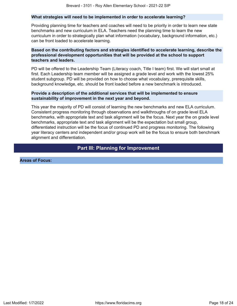### **What strategies will need to be implemented in order to accelerate learning?**

Providing planning time for teachers and coaches will need to be priority in order to learn new state benchmarks and new curriculum in ELA. Teachers need the planning time to learn the new curriculum in order to strategically plan what information (vocabulary, background information, etc.) can be front loaded to accelerate learning.

### **Based on the contributing factors and strategies identified to accelerate learning, describe the professional development opportunities that will be provided at the school to support teachers and leaders.**

PD will be offered to the Leadership Team (Literacy coach, Title I team) first. We will start small at first. Each Leadership team member will be assigned a grade level and work with the lowest 25% student subgroup. PD will be provided on how to choose what vocabulary, prerequisite skills, background knowledge, etc. should be front loaded before a new benchmark is introduced.

### **Provide a description of the additional services that will be implemented to ensure sustainability of improvement in the next year and beyond.**

This year the majority of PD will consist of learning the new benchmarks and new ELA curriculum. Consistent progress monitoring through observations and walkthroughs of on grade level ELA benchmarks, with appropriate text and task alignment will be the focus. Next year the on grade level benchmarks, appropriate text and task alignment will be the expectation but small group, differentiated instruction will be the focus of continued PD and progress monitoring. The following year literacy centers and independent and/or group work will be the focus to ensure both benchmark alignment and differentiation.

# **Part III: Planning for Improvement**

<span id="page-17-0"></span>**Areas of Focus:**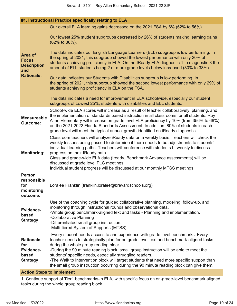| #1. Instructional Practice specifically relating to ELA                          |                                                                                                                                                                                                                                                                                                                                                                                                                                                                                                                                                                   |  |
|----------------------------------------------------------------------------------|-------------------------------------------------------------------------------------------------------------------------------------------------------------------------------------------------------------------------------------------------------------------------------------------------------------------------------------------------------------------------------------------------------------------------------------------------------------------------------------------------------------------------------------------------------------------|--|
| <b>Area of</b><br><b>Focus</b><br><b>Description</b><br>and<br><b>Rationale:</b> | Our overall ELA learning gains decreased on the 2021 FSA by 6% (62% to 56%).                                                                                                                                                                                                                                                                                                                                                                                                                                                                                      |  |
|                                                                                  | Our lowest 25% student subgroups decreased by 26% of students making learning gains<br>(62% to 36%).                                                                                                                                                                                                                                                                                                                                                                                                                                                              |  |
|                                                                                  | The data indicates our English Language Learners (ELL) subgroup is low performing. In<br>the spring of 2021, this subgroup showed the lowest performance with only 20% of<br>students achieving proficiency in ELA. On the IReady ELA diagnostic 1 to diagnostic 3 the<br>amount of ELL students being 2 or more grade levels below increased (30% to 33%).                                                                                                                                                                                                       |  |
|                                                                                  | Our data indicates our Students with Disabilities subgroup is low performing. In<br>the spring of 2021, this subgroup showed the second lowest performance with only 29% of<br>students achieving proficiency in ELA on the FSA.                                                                                                                                                                                                                                                                                                                                  |  |
|                                                                                  | The data indicates a need for improvement in ELA schoolwide, especially our student<br>subgroups of Lowest 25%, students with disabilities and ELL students.                                                                                                                                                                                                                                                                                                                                                                                                      |  |
| <b>Measureable</b><br><b>Outcome:</b>                                            | School-wide ELA scores will increase as a result of teacher collaboratively, planning, and<br>the implementation of standards based instruction in all classrooms for all students. Roy<br>Allen Elementary will increase on grade level ELA proficiency by 10% (from 356% to 66%)<br>on the 2021-2022 Florida Standards Assessment. In addition, 80% of students in each<br>grade level will meet the typical annual growth identified on iReady diagnostic.                                                                                                     |  |
| <b>Monitoring:</b>                                                               | Classroom teachers will analyze iReady data on a weekly basis. Teachers will check the<br>weekly lessons being passed to determine if there needs to be adjustments to students'<br>individual learning paths. Teachers will conference with students bi-weekly to discuss<br>progress on their IReady path.<br>Class and grade-wide ELA data (Iready, Benchmark Advance assessments) will be<br>discussed at grade level PLC meetings.<br>Individual student progress will be discussed at our monthly MTSS meetings.                                            |  |
| <b>Person</b><br>responsible<br>for<br>monitoring<br>outcome:                    | Loralee Franklin (franklin.loralee@brevardschools.org)                                                                                                                                                                                                                                                                                                                                                                                                                                                                                                            |  |
| <b>Evidence-</b><br>based<br><b>Strategy:</b>                                    | Use of the coaching cycle for guided collaborative planning, modeling, follow-up, and<br>monitoring through instructional rounds and observational data.<br>-Whole group benchmark-aligned text and tasks - Planning and implementation.<br>-Collaborative Planning<br>-Differentiated small group instruction.<br>-Multi-tiered System of Supports (MTSS)                                                                                                                                                                                                        |  |
| <b>Rationale</b><br>for<br>Evidence-<br>based<br><b>Strategy:</b>                | -Every student needs access to and experience with grade level benchmarks. Every<br>teacher needs to strategically plan for on grade level text and benchmark-aligned tasks<br>during the whole group reading block.<br>-During the 90 minute reading block, small group instruction will be able to meet the<br>students' specific needs, especially struggling readers.<br>-The Walk to Intervention block will target students that need more specific support than<br>the small group instruction occurring during the 90 minute reading block can give them. |  |

### **Action Steps to Implement**

1. Continue support of Tier1 benchmarks-in ELA, with specific focus on on-grade-level benchmark aligned tasks during the whole group reading block.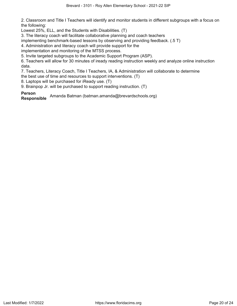2. Classroom and Title I Teachers will identify and monitor students in different subgroups with a focus on the following:

Lowest 25%, ELL, and the Students with Disabilities. (T)

3. The literacy coach will facilitate collaborative planning and coach teachers

implementing benchmark-based lessons by observing and providing feedback. (.5 T)

4. Administration and literacy coach will provide support for the

implementation and monitoring of the MTSS process.

5. Invite targeted subgroups to the Academic Support Program (ASP).

6. Teachers will allow for 30 minutes of iready reading instruction weekly and analyze online instruction data.

7. Teachers, Literacy Coach, Title I Teachers, IA, & Administration will collaborate to determine

the best use of time and resources to support interventions. (T)

8. Laptops will be purchased for iReady use. (T)

9. Brainpop Jr. will be purchased to support reading instruction. (T)

**Person**

**Responsible** Amanda Batman (batman.amanda@brevardschools.org)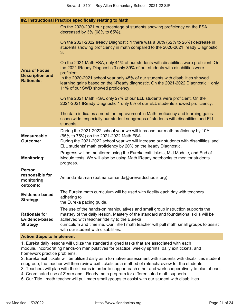| #2. Instructional Practice specifically relating to Math            |                                                                                                                                                                                                                                                                                                                                                          |  |  |
|---------------------------------------------------------------------|----------------------------------------------------------------------------------------------------------------------------------------------------------------------------------------------------------------------------------------------------------------------------------------------------------------------------------------------------------|--|--|
|                                                                     | On the 2020-2021 our percentage of students showing proficiency on the FSA<br>decreased by 3% (68% to 65%).                                                                                                                                                                                                                                              |  |  |
|                                                                     | On the 2021-2022 Iready Diagnostic 1 there was a 36% (62% to 26%) decrease in<br>students showing proficiency in math compared to the 2020-2021 Iready Diagnostic<br>3.                                                                                                                                                                                  |  |  |
| <b>Area of Focus</b><br><b>Description and</b><br><b>Rationale:</b> | On the 2021 Math FSA, only 41% of our students with disabilities were proficient. On<br>the 2021 IReady Diagnostic 3 only 39% of our students with disabilities were<br>proficient.                                                                                                                                                                      |  |  |
|                                                                     | In the 2020-2021 school year only 45% of our students with disabilities showed<br>learning gains based on the i-Ready diagnostic. On the 2021-2022 Diagnostic 1 only<br>11% of our SWD showed proficiency.                                                                                                                                               |  |  |
|                                                                     | On the 2021 Math FSA, only 27% of our ELL students were proficient. On the<br>2021-2021 IReady Diagnostic 1 only 6% of our ELL students showed proficiency.                                                                                                                                                                                              |  |  |
|                                                                     | The data indicates a need for improvement in Math proficency and learning gains<br>schoolwide, especially our student subgroups of students with disabilities and ELL<br>students.                                                                                                                                                                       |  |  |
| <b>Measureable</b><br><b>Outcome:</b>                               | During the 2021-2022 school year we will increase our math proficiency by 10%<br>(65% to 75%) on the 2021-2022 Math FSA.<br>During the 2021-2022 school year we will increase our students with disabilities' and<br>ELL students' math proficiency by 20% on the Iready Diagnostic.                                                                     |  |  |
| <b>Monitoring:</b>                                                  | Progress will be monitored using the Eureka exit tickets, Mid Module, and End of<br>Module tests. We will also be using Math iReady notebooks to monitor students<br>progress.                                                                                                                                                                           |  |  |
| <b>Person</b><br>responsible for<br>monitoring<br>outcome:          | Amanda Batman (batman.amanda@brevardschools.org)                                                                                                                                                                                                                                                                                                         |  |  |
| Evidence-based<br><b>Strategy:</b>                                  | The Eureka math curriculum will be used with fidelity each day with teachers<br>adhering to<br>the Eureka pacing guide.                                                                                                                                                                                                                                  |  |  |
| <b>Rationale for</b><br><b>Evidence-based</b><br><b>Strategy:</b>   | The use of the hands-on manipulatives and small group instruction supports the<br>mastery of the daily lesson. Mastery of the standard and foundational skills will be<br>achieved with teacher fidelity to the Eureka<br>curriculum and timeline. Our Title I math teacher will pull math small groups to assist<br>with our student with disabilities. |  |  |

#### **Action Steps to Implement**

1. Eureka daily lessons will utilize the standard aligned tasks that are associated with each module, incorporating hands-on manipulatives for practice, weekly sprints, daily exit tickets, and homework practice problems.

2. Eureka exit tickets will be utilized daily as a formative assessment with students with disabilities student subgroup, the teacher will then review exit tickets as a method of reteach/review for the students.

3. Teachers will plan with their teams in order to support each other and work cooperatively to plan ahead.

- 4. Coordinated use of Zearn and i-Ready math program for differentiated math supports.
- 5. Our Title I math teacher will pull math small groups to assist with our student with disabilities.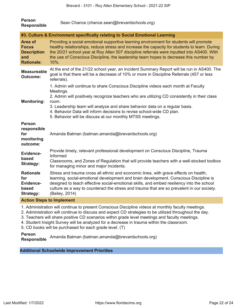| <b>Person</b><br><b>Responsible</b>                                              | Sean Chance (chance.sean@brevardschools.org)                                                                                                                                                                                                                                                                                                                                                                                 |
|----------------------------------------------------------------------------------|------------------------------------------------------------------------------------------------------------------------------------------------------------------------------------------------------------------------------------------------------------------------------------------------------------------------------------------------------------------------------------------------------------------------------|
|                                                                                  | #3. Culture & Environment specifically relating to Social Emotional Learning                                                                                                                                                                                                                                                                                                                                                 |
| <b>Area of</b><br><b>Focus</b><br><b>Description</b><br>and<br><b>Rationale:</b> | Providing a social emotional supportive learning environment for students will promote<br>healthy relationships, reduce stress and increase the capacity for students to learn. During<br>the 20/21 school year at Roy Allen 507 discipline referrals were inputted into AS400. With<br>the use of Conscious Discipline, the leadership team hopes to decrease this number by<br>10%.                                        |
| <b>Measureable</b><br><b>Outcome:</b>                                            | At the end of the 21/22 school year, an Incident Summary Report will be run in AS400. The<br>goal is that there will be a decrease of 10% or more in Discipline Referrals (457 or less<br>referrals).                                                                                                                                                                                                                        |
| <b>Monitoring:</b>                                                               | 1. Admin will continue to share Conscious Discipline videos each month at Faculty<br>Meetings.<br>2. Admin will positively recognize teachers who are utilizing CD consistently in their class<br>room.<br>3. Leadership team will analyze and share behavior data on a regular basis.<br>4. Behavior Data will inform decisions to revise school-wide CD plan.<br>5. Behavior will be discuss at our monthly MTSS meetings. |
| <b>Person</b><br>responsible<br>for<br>monitoring<br>outcome:                    | Amanda Batman (batman.amanda@brevardschools.org)                                                                                                                                                                                                                                                                                                                                                                             |
| Evidence-<br>based<br><b>Strategy:</b>                                           | Provide timely, relevant professional development on Conscious Discipline, Trauma<br>Informed<br>Classrooms, and Zones of Regulation that will provide teachers with a well-stocked toolbox<br>for managing minor and major incidents.                                                                                                                                                                                       |
| <b>Rationale</b><br>for<br>Evidence-<br>based<br><b>Strategy:</b>                | Stress and trauma cross all ethnic and economic lines, with grave effects on health,<br>learning, social-emotional development and brain development. Conscious Discipline is<br>designed to teach effective social-emotional skills, and embed resiliency into the school<br>culture as a way to counteract the stress and trauma that are so prevalent in our society.<br>(Bailey, 2014)                                   |

### **Action Steps to Implement**

1. Administration will continue to present Conscious Discipline videos at monthly faculty meetings.

- 2. Administration will continue to discuss and expect CD strategies to be utilized throughout the day.
- 3. Teachers will share positive CD scenarios within grade level meetings and faculty meetings.
- 4. Student Insight Survey will be analyzed for a decrease in trauma within the classroom.
- 5. CD books will be purchased for each grade level. (T)

**Person**

**Responsible** Amanda Batman (batman.amanda@brevardschools.org)

**Additional Schoolwide Improvement Priorities**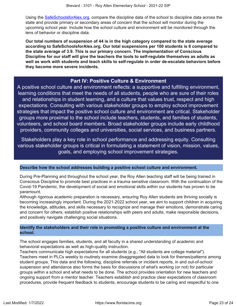Using the [SafeSchoolsforAlex.org](https://www.safeschoolsforalex.org/fl-school-safety-dashboard/), compare the discipline data of the school to discipline data across the state and provide primary or secondary areas of concern that the school will monitor during the upcoming school year. Include how the school culture and environment will be monitored through the lens of behavior or discipline data.

**Our total numbers of suspension of 44 is in the high category compared to the state average according to SafeSchoolsforAlex.org. Our total suspensions per 100 students is 6 compared to the state average of 3.9. This is our primary concern. The implementation of Conscious Discipline for our staff will give the teachers the tools to self-regulate themselves as adults as well as work with students and teach skills to self-regulate in order de-escalate behaviors before they become more severe incidents.**

## **Part IV: Positive Culture & Environment**

<span id="page-22-0"></span>A positive school culture and environment reflects: a supportive and fulfilling environment, learning conditions that meet the needs of all students, people who are sure of their roles and relationships in student learning, and a culture that values trust, respect and high expectations. Consulting with various stakeholder groups to employ school improvement strategies that impact the positive school culture and environment are critical. Stakeholder groups more proximal to the school include teachers, students, and families of students, volunteers, and school board members. Broad stakeholder groups include early childhood providers, community colleges and universities, social services, and business partners.

Stakeholders play a key role in school performance and addressing equity. Consulting various stakeholder groups is critical in formulating a statement of vision, mission, values, goals, and employing school improvement strategies.

### **Describe how the school addresses building a positive school culture and environment.**

During Pre-Planning and throughout the school year, the Roy Allen teaching staff will be being trained in Conscious Discipline to promote best practices in a trauma sensitive classroom. With the continuation of the Covid-19 Pandemic, the development of social and emotional skills within our students has proven to be paramount.

Although rigorous academic preparation is necessary, ensuring Roy Allen students are thriving socially is becoming increasingly important. During the 2021-2022 school year, we aim to support children in acquiring the knowledge, attitudes, and skills necessary to recognize and manage their emotions, demonstrate caring and concern for others, establish positive relationships with peers and adults, make responsible decisions, and positively navigate challenging social situations.

### **Identify the stakeholders and their role in promoting a positive culture and environment at the school.**

The school engages families, students, and all faculty in a shared understanding of academic and behavioral expectations as well as high-quality instruction.

Teachers communicate high expectations for all students (e.g., "All students are college material"). Teachers meet in PLCs weekly to routinely examine disaggregated data to look for themes/patterns among student groups. This data and the following, discipline referrals or incident reports, in and out-of-school suspension and attendance also forms the basis for discussions of what's working (or not) for particular groups within a school and what needs to be done. The school provides orientation for new teachers and ongoing support from a mentor teacher. Teachers establish and practice clear expectations of classroom procedures, provide frequent feedback to students, encourage students to be caring and respectful to one